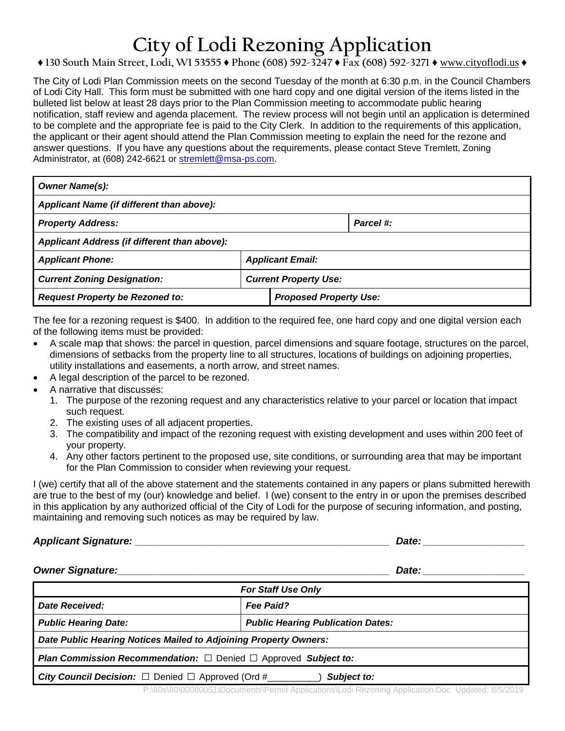# **City of Lodi Rezoning Application**

### **♦ 130 South Main Street, Lodi, WI 53555 ♦ Phone (608) 592-3247 ♦ Fax (608) 592-3271 ♦** www.cityoflodi.us **♦**

The City of Lodi Plan Commission meets on the second Tuesday of the month at 6:30 p.m. in the Council Chambers of Lodi City Hall. This form must be submitted with one hard copy and one digital version of the items listed in the bulleted list below at least 28 days prior to the Plan Commission meeting to accommodate public hearing notification, staff review and agenda placement. The review process will not begin until an application is determined to be complete and the appropriate fee is paid to the City Clerk. In addition to the requirements of this application, the applicant or their agent should attend the Plan Commission meeting to explain the need for the rezone and answer questions. If you have any questions about the requirements, please contact Steve Tremlett, Zoning Administrator, at (608) 242-6621 or [stremlett@msa-ps.com.](mailto:stremlett@msa-ps.com)

| <b>Owner Name(s):</b>                        |  |                               |           |  |
|----------------------------------------------|--|-------------------------------|-----------|--|
| Applicant Name (if different than above):    |  |                               |           |  |
| <b>Property Address:</b>                     |  |                               | Parcel #: |  |
| Applicant Address (if different than above): |  |                               |           |  |
| <b>Applicant Phone:</b>                      |  | <b>Applicant Email:</b>       |           |  |
| <b>Current Zoning Designation:</b>           |  | <b>Current Property Use:</b>  |           |  |
| <b>Request Property be Rezoned to:</b>       |  | <b>Proposed Property Use:</b> |           |  |

The fee for a rezoning request is \$400. In addition to the required fee, one hard copy and one digital version each of the following items must be provided:

- A scale map that shows: the parcel in question, parcel dimensions and square footage, structures on the parcel, dimensions of setbacks from the property line to all structures, locations of buildings on adjoining properties, utility installations and easements, a north arrow, and street names.
- A legal description of the parcel to be rezoned.
- A narrative that discusses:
	- 1. The purpose of the rezoning request and any characteristics relative to your parcel or location that impact such request.
	- 2. The existing uses of all adjacent properties.
	- 3. The compatibility and impact of the rezoning request with existing development and uses within 200 feet of your property.
	- 4. Any other factors pertinent to the proposed use, site conditions, or surrounding area that may be important for the Plan Commission to consider when reviewing your request.

I (we) certify that all of the above statement and the statements contained in any papers or plans submitted herewith are true to the best of my (our) knowledge and belief. I (we) consent to the entry in or upon the premises described in this application by any authorized official of the City of Lodi for the purpose of securing information, and posting, maintaining and removing such notices as may be required by law.

### *Applicant Signature: \_\_\_\_\_\_\_\_\_\_\_\_\_\_\_\_\_\_\_\_\_\_\_\_\_\_\_\_\_\_\_\_\_\_\_\_\_\_\_\_\_\_\_\_\_ Date: \_\_\_\_\_\_\_\_\_\_\_\_\_\_\_\_\_\_*

### *Owner Signature:\_\_\_\_\_\_\_\_\_\_\_\_\_\_\_\_\_\_\_\_\_\_\_\_\_\_\_\_\_\_\_\_\_\_\_\_\_\_\_\_\_\_\_\_\_\_\_\_ Date: \_\_\_\_\_\_\_\_\_\_\_\_\_\_\_\_\_\_*

| <b>For Staff Use Only</b>                                                         |                                          |  |  |
|-----------------------------------------------------------------------------------|------------------------------------------|--|--|
| Date Received:                                                                    | <b>Fee Paid?</b>                         |  |  |
| <b>Public Hearing Date:</b>                                                       | <b>Public Hearing Publication Dates:</b> |  |  |
| Date Public Hearing Notices Mailed to Adjoining Property Owners:                  |                                          |  |  |
| <b>Plan Commission Recommendation:</b> $\Box$ Denied $\Box$ Approved Subject to:  |                                          |  |  |
| <b>City Council Decision:</b> $\Box$ Denied $\Box$ Approved (Ord #<br>Subject to: |                                          |  |  |

P:\80s\80\00080051\Documents\Permit Applications\Lodi Rezoning Application.Doc Updated: 8/5/2019